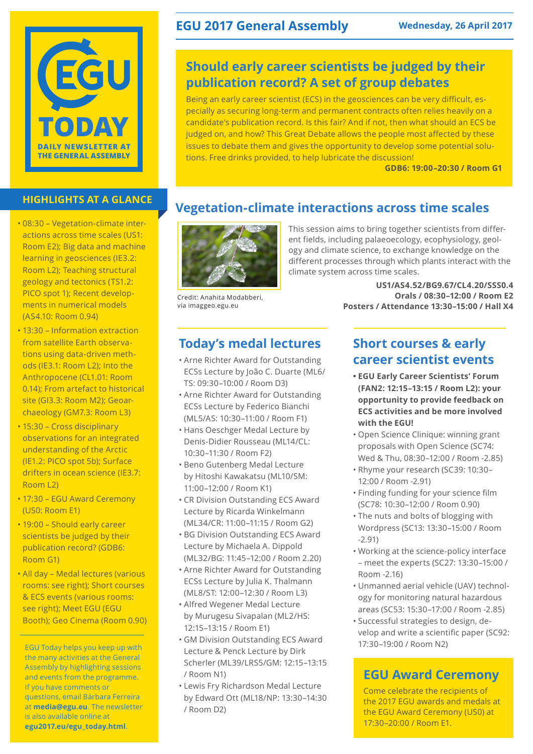

- 08:30 Vegetation-climate interactions across time scales (US1: Room E2); Big data and machine learning in geosciences (IE3.2: Room L2); Teaching structural geology and tectonics (TS1.2: PICO spot 1); Recent developments in numerical models (AS4.10: Room 0.94)
- 13:30 Information extraction from satellite Earth observations using data-driven methods (IE3.1: Room L2); Into the Anthropocene (CL1.01: Room 0.14); From artefact to historical site (GI3.3: Room M2); Geoarchaeology (GM7.3: Room L3)
- 15:30 Cross disciplinary observations for an integrated understanding of the Arctic (IE1.2: PICO spot 5b); Surface drifters in ocean science (IE3.7: Room L2)
- 17:30 EGU Award Ceremony (US0: Room E1)
- 19:00 Should early career scientists be judged by their publication record? (GDB6: Room G1)
- All day Medal lectures (various rooms: see right); Short courses & ECS events (various rooms: see right); Meet EGU (EGU Booth); Geo Cinema (Room 0.90)

EGU Today helps you keep up with the many activities at the General Assembly by highlighting sessions and events from the programme. If you have comments or questions, email Bárbara Ferreira at **media@egu.eu**. The newsletter is also available online at **egu2017.eu/egu\_today.html**.

## **EGU 2017 General Assembly Wednesday, 26 April 2017**

## **Should early career scientists be judged by their publication record? A set of group debates**

Being an early career scientist (ECS) in the geosciences can be very difficult, especially as securing long-term and permanent contracts often relies heavily on a candidate's publication record. Is this fair? And if not, then what should an ECS be judged on, and how? This Great Debate allows the people most affected by these issues to debate them and gives the opportunity to develop some potential solutions. Free drinks provided, to help lubricate the discussion!

**GDB6: 19:00–20:30 / Room G1**

# **HIGHLIGHTS AT A GLANCE Vegetation-climate interactions across time scales**



Credit: Anahita Modabberi, via imaggeo.egu.eu

## **Today's medal lectures**

- Arne Richter Award for Outstanding ECSs Lecture by João C. Duarte (ML6/ TS: 09:30–10:00 / Room D3)
- Arne Richter Award for Outstanding ECSs Lecture by Federico Bianchi (ML5/AS: 10:30–11:00 / Room F1)
- Hans Oeschger Medal Lecture by Denis-Didier Rousseau (ML14/CL: 10:30–11:30 / Room F2)
- Beno Gutenberg Medal Lecture by Hitoshi Kawakatsu (ML10/SM: 11:00–12:00 / Room K1)
- CR Division Outstanding ECS Award Lecture by Ricarda Winkelmann (ML34/CR: 11:00–11:15 / Room G2)
- BG Division Outstanding ECS Award Lecture by Michaela A. Dippold (ML32/BG: 11:45–12:00 / Room 2.20)
- Arne Richter Award for Outstanding ECSs Lecture by Julia K. Thalmann (ML8/ST: 12:00–12:30 / Room L3)
- Alfred Wegener Medal Lecture by Murugesu Sivapalan (ML2/HS: 12:15–13:15 / Room E1)
- GM Division Outstanding ECS Award Lecture & Penck Lecture by Dirk Scherler (ML39/LRS5/GM: 12:15–13:15 / Room N1)
- Lewis Fry Richardson Medal Lecture by Edward Ott (ML18/NP: 13:30–14:30 / Room D2)

This session aims to bring together scientists from different fields, including palaeoecology, ecophysiology, geology and climate science, to exchange knowledge on the different processes through which plants interact with the climate system across time scales.

> **US1/AS4.52/BG9.67/CL4.20/SSS0.4 Orals / 08:30–12:00 / Room E2 Posters / Attendance 13:30–15:00 / Hall X4**

## **Short courses & early career scientist events**

- **• EGU Early Career Scientists' Forum (FAN2: 12:15–13:15 / Room L2): your opportunity to provide feedback on ECS activities and be more involved with the EGU!**
- Open Science Clinique: winning grant proposals with Open Science (SC74: Wed & Thu, 08:30–12:00 / Room -2.85)
- Rhyme your research (SC39: 10:30– 12:00 / Room -2.91)
- Finding funding for your science film (SC78: 10:30–12:00 / Room 0.90)
- The nuts and bolts of blogging with Wordpress (SC13: 13:30–15:00 / Room -2.91)
- Working at the science-policy interface – meet the experts (SC27: 13:30–15:00 / Room -2.16)
- Unmanned aerial vehicle (UAV) technology for monitoring natural hazardous areas (SC53: 15:30–17:00 / Room -2.85)
- Successful strategies to design, develop and write a scientific paper (SC92: 17:30–19:00 / Room N2)

## **EGU Award Ceremony**

Come celebrate the recipients of the 2017 EGU awards and medals at the EGU Award Ceremony (US0) at 17:30–20:00 / Room E1.